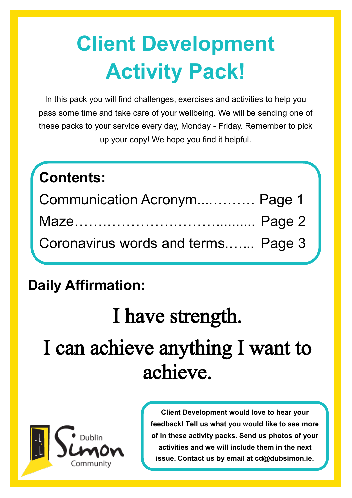# **Client Development Activity Pack!**

In this pack you will find challenges, exercises and activities to help you pass some time and take care of your wellbeing. We will be sending one of these packs to your service every day, Monday - Friday. Remember to pick up your copy! We hope you find it helpful.

## **Contents:** Communication Acronym....……… Page 1 Maze………………………….......... Page 2 Coronavirus words and terms.…... Page 3

### **Daily Affirmation:**

# I have strength. I can achieve anything I want to achieve.



**Client Development would love to hear your feedback! Tell us what you would like to see more of in these activity packs. Send us photos of your activities and we will include them in the next issue. Contact us by email at cd@dubsimon.ie.**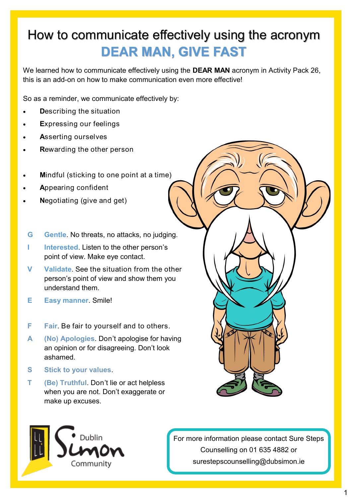#### How to communicate effectively using the acronym **DEAR MAN, GIVE FAST**

We learned how to communicate effectively using the **DEAR MAN** acronym in Activity Pack 26, this is an add-on on how to make communication even more effective!

So as a reminder, we communicate effectively by:

- **D**escribing the situation
- **E**xpressing our feelings
- **A**sserting ourselves
- **R**ewarding the other person
- **M**indful (sticking to one point at a time)
- **A**ppearing confident
- **N**egotiating (give and get)
- **G Gentle**. No threats, no attacks, no judging.
- **I Interested**. Listen to the other person's point of view. Make eye contact.
- **V Validate**. See the situation from the other person's point of view and show them you understand them.
- **E Easy manner**. Smile!
- **F Fair**. Be fair to yourself and to others.
- **A (No) Apologies**. Don't apologise for having an opinion or for disagreeing. Don't look ashamed.
- **S Stick to your values**.
- **T (Be) Truthful**. Don't lie or act helpless when you are not. Don't exaggerate or make up excuses.



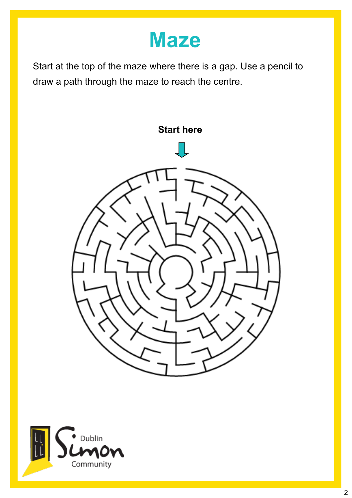### **Maze**

Start at the top of the maze where there is a gap. Use a pencil to draw a path through the maze to reach the centre.